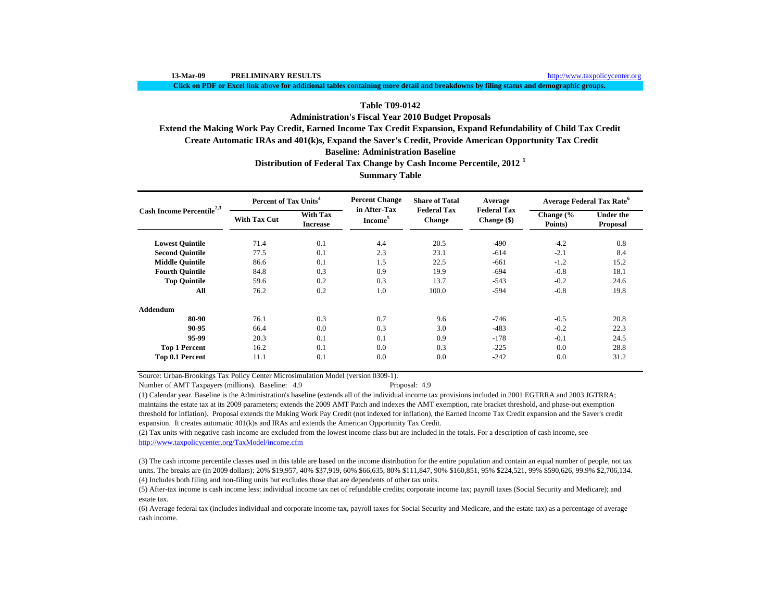**Click on PDF or Excel link above for additional tables containing more detail and breakdowns by filing status and demographic groups.**

### **Table T09-0142**

**Administration's Fiscal Year 2010 Budget Proposals**

**Extend the Making Work Pay Credit, Earned Income Tax Credit Expansion, Expand Refundability of Child Tax Credit**

 **Create Automatic IRAs and 401(k)s, Expand the Saver's Credit, Provide American Opportunity Tax Credit**

### **Baseline: Administration Baseline**

**Distribution of Federal Tax Change by Cash Income Percentile, 2012 <sup>1</sup>**

**Summary Table**

| Cash Income Percentile <sup>2,3</sup> | Percent of Tax Units <sup>4</sup> |                                    | <b>Percent Change</b>               | <b>Share of Total</b>               | Average                           | <b>Average Federal Tax Rate<sup>6</sup></b> |                              |  |
|---------------------------------------|-----------------------------------|------------------------------------|-------------------------------------|-------------------------------------|-----------------------------------|---------------------------------------------|------------------------------|--|
|                                       | <b>With Tax Cut</b>               | <b>With Tax</b><br><b>Increase</b> | in After-Tax<br>Income <sup>5</sup> | <b>Federal Tax</b><br><b>Change</b> | <b>Federal Tax</b><br>Change (\$) | Change (%<br>Points)                        | <b>Under the</b><br>Proposal |  |
| <b>Lowest Quintile</b>                | 71.4                              | 0.1                                | 4.4                                 | 20.5                                | $-490$                            | $-4.2$                                      | 0.8                          |  |
| <b>Second Quintile</b>                | 77.5                              | 0.1                                | 2.3                                 | 23.1                                | $-614$                            | $-2.1$                                      | 8.4                          |  |
| <b>Middle Quintile</b>                | 86.6                              | 0.1                                | 1.5                                 | 22.5                                | $-661$                            | $-1.2$                                      | 15.2                         |  |
| <b>Fourth Quintile</b>                | 84.8                              | 0.3                                | 0.9                                 | 19.9                                | $-694$                            | $-0.8$                                      | 18.1                         |  |
| <b>Top Quintile</b>                   | 59.6                              | 0.2                                | 0.3                                 | 13.7                                | $-543$                            | $-0.2$                                      | 24.6                         |  |
| All                                   | 76.2                              | 0.2                                | 1.0                                 | 100.0                               | $-594$                            | $-0.8$                                      | 19.8                         |  |
| Addendum                              |                                   |                                    |                                     |                                     |                                   |                                             |                              |  |
| 80-90                                 | 76.1                              | 0.3                                | 0.7                                 | 9.6                                 | $-746$                            | $-0.5$                                      | 20.8                         |  |
| 90-95                                 | 66.4                              | 0.0                                | 0.3                                 | 3.0                                 | $-483$                            | $-0.2$                                      | 22.3                         |  |
| 95-99                                 | 20.3                              | 0.1                                | 0.1                                 | 0.9                                 | $-178$                            | $-0.1$                                      | 24.5                         |  |
| <b>Top 1 Percent</b>                  | 16.2                              | 0.1                                | 0.0                                 | 0.3                                 | $-225$                            | 0.0                                         | 28.8                         |  |
| Top 0.1 Percent                       | 11.1                              | 0.1                                | 0.0                                 | 0.0                                 | $-242$                            | 0.0                                         | 31.2                         |  |

Source: Urban-Brookings Tax Policy Center Microsimulation Model (version 0309-1).

Number of AMT Taxpayers (millions). Baseline: 4.9 Proposal: 4.9

(1) Calendar year. Baseline is the Administration's baseline (extends all of the individual income tax provisions included in 2001 EGTRRA and 2003 JGTRRA; maintains the estate tax at its 2009 parameters; extends the 2009 AMT Patch and indexes the AMT exemption, rate bracket threshold, and phase-out exemption threshold for inflation). Proposal extends the Making Work Pay Credit (not indexed for inflation), the Earned Income Tax Credit expansion and the Saver's credit expansion. It creates automatic 401(k)s and IRAs and extends the American Opportunity Tax Credit.

(2) Tax units with negative cash income are excluded from the lowest income class but are included in the totals. For a description of cash income, see http://www.taxpolicycenter.org/TaxModel/income.cfm

(4) Includes both filing and non-filing units but excludes those that are dependents of other tax units. (3) The cash income percentile classes used in this table are based on the income distribution for the entire population and contain an equal number of people, not tax units. The breaks are (in 2009 dollars): 20% \$19,957, 40% \$37,919, 60% \$66,635, 80% \$111,847, 90% \$160,851, 95% \$224,521, 99% \$590,626, 99.9% \$2,706,134.

(5) After-tax income is cash income less: individual income tax net of refundable credits; corporate income tax; payroll taxes (Social Security and Medicare); and estate tax.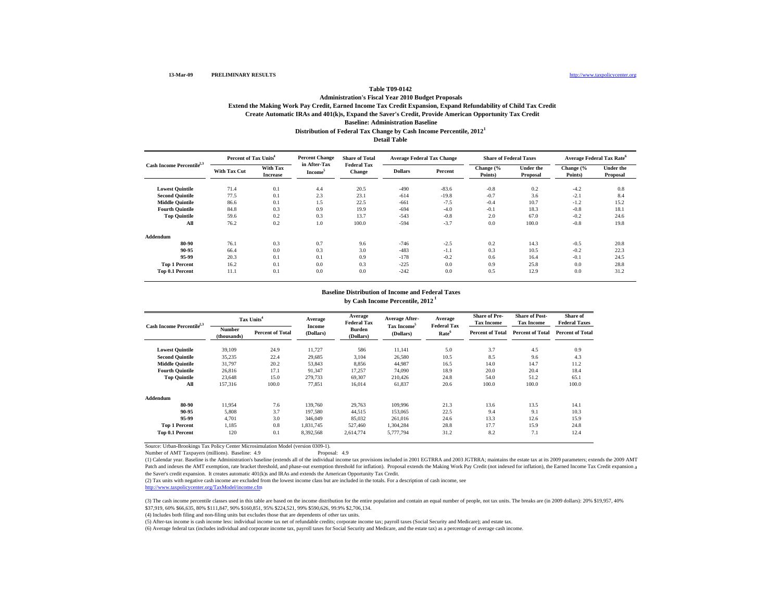#### **Create Automatic IRAs and 401(k)s, Expand the Saver's Credit, Provide American Opportunity Tax Credit Baseline: Administration Baseline Distribution of Federal Tax Change by Cash Income Percentile, 2012 1 Administration's Fiscal Year 2010 Budget Proposals Extend the Making Work Pay Credit, Earned Income Tax Credit Expansion, Expand Refundability of Child Tax Credit Detail Table**

|                                       | Percent of Tax Units <sup>4</sup> |                                    | <b>Percent Change</b>               | <b>Share of Total</b>               | <b>Average Federal Tax Change</b> |         | <b>Share of Federal Taxes</b> |                              | <b>Average Federal Tax Rate<sup>6</sup></b> |                              |
|---------------------------------------|-----------------------------------|------------------------------------|-------------------------------------|-------------------------------------|-----------------------------------|---------|-------------------------------|------------------------------|---------------------------------------------|------------------------------|
| Cash Income Percentile <sup>2,3</sup> | <b>With Tax Cut</b>               | <b>With Tax</b><br><b>Increase</b> | in After-Tax<br>Income <sup>5</sup> | <b>Federal Tax</b><br><b>Change</b> | <b>Dollars</b>                    | Percent | Change (%<br>Points)          | <b>Under the</b><br>Proposal | Change (%<br>Points)                        | <b>Under the</b><br>Proposal |
| <b>Lowest Quintile</b>                | 71.4                              | 0.1                                | 4.4                                 | 20.5                                | $-490$                            | $-83.6$ | $-0.8$                        | 0.2                          | $-4.2$                                      | 0.8                          |
| <b>Second Quintile</b>                | 77.5                              | 0.1                                | 2.3                                 | 23.1                                | $-614$                            | $-19.8$ | $-0.7$                        | 3.6                          | $-2.1$                                      | 8.4                          |
| <b>Middle Quintile</b>                | 86.6                              | 0.1                                | 1.5                                 | 22.5                                | $-661$                            | $-7.5$  | $-0.4$                        | 10.7                         | $-1.2$                                      | 15.2                         |
| <b>Fourth Quintile</b>                | 84.8                              | 0.3                                | 0.9                                 | 19.9                                | $-694$                            | $-4.0$  | $-0.1$                        | 18.3                         | $-0.8$                                      | 18.1                         |
| <b>Top Quintile</b>                   | 59.6                              | 0.2                                | 0.3                                 | 13.7                                | $-543$                            | $-0.8$  | 2.0                           | 67.0                         | $-0.2$                                      | 24.6                         |
| All                                   | 76.2                              | 0.2                                | 1.0                                 | 100.0                               | $-594$                            | $-3.7$  | 0.0                           | 100.0                        | $-0.8$                                      | 19.8                         |
| Addendum                              |                                   |                                    |                                     |                                     |                                   |         |                               |                              |                                             |                              |
| 80-90                                 | 76.1                              | 0.3                                | 0.7                                 | 9.6                                 | $-746$                            | $-2.5$  | 0.2                           | 14.3                         | $-0.5$                                      | 20.8                         |
| 90-95                                 | 66.4                              | 0.0                                | 0.3                                 | 3.0                                 | $-483$                            | $-1.1$  | 0.3                           | 10.5                         | $-0.2$                                      | 22.3                         |
| 95-99                                 | 20.3                              | 0.1                                | 0.1                                 | 0.9                                 | $-178$                            | $-0.2$  | 0.6                           | 16.4                         | $-0.1$                                      | 24.5                         |
| <b>Top 1 Percent</b>                  | 16.2                              | 0.1                                | 0.0                                 | 0.3                                 | $-225$                            | 0.0     | 0.9                           | 25.8                         | 0.0                                         | 28.8                         |
| Top 0.1 Percent                       | 11.1                              | 0.1                                | 0.0                                 | 0.0                                 | $-242$                            | 0.0     | 0.5                           | 12.9                         | 0.0                                         | 31.2                         |

# **Baseline Distribution of Income and Federal Taxes**

**by Cash Income Percentile, 2012 1**

| Cash Income Percentile <sup>2,3</sup> |                              | Tax Units <sup>4</sup>  | Average<br>Income | Average<br><b>Federal Tax</b> | Average After-<br>Tax Income <sup>5</sup> | Average<br><b>Federal Tax</b> | <b>Share of Pre-</b><br><b>Tax Income</b> | <b>Share of Post-</b><br><b>Tax Income</b> | Share of<br><b>Federal Taxes</b> |
|---------------------------------------|------------------------------|-------------------------|-------------------|-------------------------------|-------------------------------------------|-------------------------------|-------------------------------------------|--------------------------------------------|----------------------------------|
|                                       | <b>Number</b><br>(thousands) | <b>Percent of Total</b> | (Dollars)         | <b>Burden</b><br>(Dollars)    | (Dollars)                                 | Rate <sup>6</sup>             | <b>Percent of Total</b>                   | <b>Percent of Total</b>                    | <b>Percent of Total</b>          |
| <b>Lowest Quintile</b>                | 39.109                       | 24.9                    | 11,727            | 586                           | 11,141                                    | 5.0                           | 3.7                                       | 4.5                                        | 0.9                              |
| <b>Second Quintile</b>                | 35,235                       | 22.4                    | 29,685            | 3.104                         | 26,580                                    | 10.5                          | 8.5                                       | 9.6                                        | 4.3                              |
| <b>Middle Quintile</b>                | 31,797                       | 20.2                    | 53,843            | 8,856                         | 44,987                                    | 16.5                          | 14.0                                      | 14.7                                       | 11.2                             |
| <b>Fourth Ouintile</b>                | 26,816                       | 17.1                    | 91,347            | 17,257                        | 74,090                                    | 18.9                          | 20.0                                      | 20.4                                       | 18.4                             |
| <b>Top Quintile</b>                   | 23.648                       | 15.0                    | 279,733           | 69,307                        | 210,426                                   | 24.8                          | 54.0                                      | 51.2                                       | 65.1                             |
| All                                   | 157,316                      | 100.0                   | 77,851            | 16,014                        | 61,837                                    | 20.6                          | 100.0                                     | 100.0                                      | 100.0                            |
| Addendum                              |                              |                         |                   |                               |                                           |                               |                                           |                                            |                                  |
| 80-90                                 | 11.954                       | 7.6                     | 139,760           | 29,763                        | 109,996                                   | 21.3                          | 13.6                                      | 13.5                                       | 14.1                             |
| 90-95                                 | 5,808                        | 3.7                     | 197,580           | 44,515                        | 153,065                                   | 22.5                          | 9.4                                       | 9.1                                        | 10.3                             |
| 95-99                                 | 4.701                        | 3.0                     | 346,049           | 85,032                        | 261,016                                   | 24.6                          | 13.3                                      | 12.6                                       | 15.9                             |
| <b>Top 1 Percent</b>                  | 1.185                        | 0.8                     | 1.831.745         | 527.460                       | 1.304.284                                 | 28.8                          | 17.7                                      | 15.9                                       | 24.8                             |
| Top 0.1 Percent                       | 120                          | 0.1                     | 8,392,568         | 2,614,774                     | 5,777,794                                 | 31.2                          | 8.2                                       | 7.1                                        | 12.4                             |

Source: Urban-Brookings Tax Policy Center Microsimulation Model (version 0309-1). Number of AMT Taxpayers (millions). Baseline: 4.9

(1) Calendar year. Baseline is the Administration's baseline (extends all of the individual income tax provisions included in 2001 EGTRRA and 2003 JGTRRA; maintains the estate tax at its 2009 parameters; extends the 2009 AMT Patch and indexes the AMT exemption, rate bracket threshold, and phase-out exemption threshold for inflation). Proposal extends the Making Work Pay Credit (not indexed for inflation), the Earned Income Tax Credit expansion the Saver's credit expansion. It creates automatic 401(k)s and IRAs and extends the American Opportunity Tax Credit.

(2) Tax units with negative cash income are excluded from the lowest income class but are included in the totals. For a description of cash income, see

http://www.taxpolicycenter.org/TaxModel/income.cfm

(3) The cash income percentile classes used in this table are based on the income distribution for the entire population and contain an equal number of people, not tax units. The breaks are (in 2009 dollars): 20% \$19,957, \$37,919, 60% \$66,635, 80% \$111,847, 90% \$160,851, 95% \$224,521, 99% \$590,626, 99.9% \$2,706,134.

(4) Includes both filing and non-filing units but excludes those that are dependents of other tax units.

(5) After-tax income is cash income less: individual income tax net of refundable credits; corporate income tax; payroll taxes (Social Security and Medicare); and estate tax.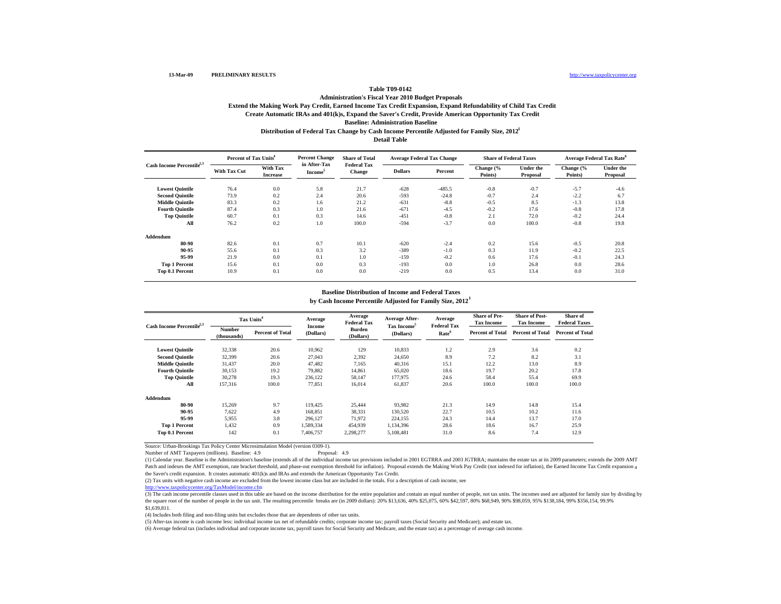#### **13-Mar-09 PRELIMINARY RESULTS**

#### http://www.taxpolicycenter.org

### **Table T09-0142**

#### **Create Automatic IRAs and 401(k)s, Expand the Saver's Credit, Provide American Opportunity Tax Credit Baseline: Administration Baseline Administration's Fiscal Year 2010 Budget Proposals Extend the Making Work Pay Credit, Earned Income Tax Credit Expansion, Expand Refundability of Child Tax Credit Distribution of Federal Tax Change by Cash Income Percentile Adjusted for Family Size, 2012 1 Detail Table**

|                                       | Percent of Tax Units <sup>4</sup> |                             | <b>Percent Change</b>               | <b>Share of Total</b>               | <b>Average Federal Tax Change</b> |          | <b>Share of Federal Taxes</b> |                              |                      | <b>Average Federal Tax Rate</b> <sup>6</sup> |
|---------------------------------------|-----------------------------------|-----------------------------|-------------------------------------|-------------------------------------|-----------------------------------|----------|-------------------------------|------------------------------|----------------------|----------------------------------------------|
| Cash Income Percentile <sup>2,3</sup> | <b>With Tax Cut</b>               | With Tax<br><b>Increase</b> | in After-Tax<br>Income <sup>5</sup> | <b>Federal Tax</b><br><b>Change</b> | <b>Dollars</b>                    | Percent  | Change (%<br>Points)          | <b>Under the</b><br>Proposal | Change (%<br>Points) | <b>Under the</b><br>Proposal                 |
| <b>Lowest Quintile</b>                | 76.4                              | 0.0                         | 5.8                                 | 21.7                                | $-628$                            | $-485.5$ | $-0.8$                        | $-0.7$                       | $-5.7$               | $-4.6$                                       |
| <b>Second Quintile</b>                | 73.9                              | 0.2                         | 2.4                                 | 20.6                                | $-593$                            | $-24.8$  | $-0.7$                        | 2.4                          | $-2.2$               | 6.7                                          |
| <b>Middle Quintile</b>                | 83.3                              | 0.2                         | 1.6                                 | 21.2                                | $-631$                            | $-8.8$   | $-0.5$                        | 8.5                          | $-1.3$               | 13.8                                         |
| <b>Fourth Quintile</b>                | 87.4                              | 0.3                         | 1.0                                 | 21.6                                | $-671$                            | $-4.5$   | $-0.2$                        | 17.6                         | $-0.8$               | 17.8                                         |
| <b>Top Quintile</b>                   | 60.7                              | 0.1                         | 0.3                                 | 14.6                                | $-451$                            | $-0.8$   | 2.1                           | 72.0                         | $-0.2$               | 24.4                                         |
| All                                   | 76.2                              | 0.2                         | 1.0                                 | 100.0                               | $-594$                            | $-3.7$   | 0.0                           | 100.0                        | $-0.8$               | 19.8                                         |
| Addendum                              |                                   |                             |                                     |                                     |                                   |          |                               |                              |                      |                                              |
| 80-90                                 | 82.6                              | 0.1                         | 0.7                                 | 10.1                                | $-620$                            | $-2.4$   | 0.2                           | 15.6                         | $-0.5$               | 20.8                                         |
| 90-95                                 | 55.6                              | 0.1                         | 0.3                                 | 3.2                                 | $-389$                            | $-1.0$   | 0.3                           | 11.9                         | $-0.2$               | 22.5                                         |
| 95-99                                 | 21.9                              | 0.0                         | 0.1                                 | 1.0                                 | $-159$                            | $-0.2$   | 0.6                           | 17.6                         | $-0.1$               | 24.3                                         |
| <b>Top 1 Percent</b>                  | 15.6                              | 0.1                         | 0.0                                 | 0.3                                 | $-193$                            | 0.0      | 1.0                           | 26.8                         | 0.0                  | 28.6                                         |
| Top 0.1 Percent                       | 10.9                              | 0.1                         | 0.0                                 | 0.0                                 | $-219$                            | 0.0      | 0.5                           | 13.4                         | 0.0                  | 31.0                                         |

## **Baseline Distribution of Income and Federal Taxes**

**by Cash Income Percentile Adjusted for Family Size, 2012 1**

| Cash Income Percentile <sup>2,3</sup> | Tax Units <sup>4</sup>       |                         | Average<br>Income | Average<br><b>Federal Tax</b> | <b>Average After-</b><br>Tax Income <sup>5</sup> | Average<br><b>Federal Tax</b> | <b>Share of Pre-</b><br><b>Tax Income</b> | <b>Share of Post-</b><br><b>Tax Income</b> | Share of<br><b>Federal Taxes</b> |
|---------------------------------------|------------------------------|-------------------------|-------------------|-------------------------------|--------------------------------------------------|-------------------------------|-------------------------------------------|--------------------------------------------|----------------------------------|
|                                       | <b>Number</b><br>(thousands) | <b>Percent of Total</b> | (Dollars)         | <b>Burden</b><br>(Dollars)    | (Dollars)                                        | Rate <sup>6</sup>             | <b>Percent of Total</b>                   | <b>Percent of Total</b>                    | <b>Percent of Total</b>          |
| <b>Lowest Quintile</b>                | 32,338                       | 20.6                    | 10,962            | 129                           | 10,833                                           | 1.2                           | 2.9                                       | 3.6                                        | 0.2                              |
| <b>Second Quintile</b>                | 32,399                       | 20.6                    | 27,043            | 2,392                         | 24,650                                           | 8.9                           | 7.2                                       | 8.2                                        | 3.1                              |
| <b>Middle Quintile</b>                | 31,437                       | 20.0                    | 47,482            | 7,165                         | 40,316                                           | 15.1                          | 12.2                                      | 13.0                                       | 8.9                              |
| <b>Fourth Ouintile</b>                | 30,153                       | 19.2                    | 79,882            | 14,861                        | 65,020                                           | 18.6                          | 19.7                                      | 20.2                                       | 17.8                             |
| <b>Top Quintile</b>                   | 30,278                       | 19.3                    | 236,122           | 58,147                        | 177,975                                          | 24.6                          | 58.4                                      | 55.4                                       | 69.9                             |
| All                                   | 157,316                      | 100.0                   | 77,851            | 16,014                        | 61,837                                           | 20.6                          | 100.0                                     | 100.0                                      | 100.0                            |
| Addendum                              |                              |                         |                   |                               |                                                  |                               |                                           |                                            |                                  |
| 80-90                                 | 15,269                       | 9.7                     | 119.425           | 25,444                        | 93,982                                           | 21.3                          | 14.9                                      | 14.8                                       | 15.4                             |
| 90-95                                 | 7,622                        | 4.9                     | 168,851           | 38,331                        | 130,520                                          | 22.7                          | 10.5                                      | 10.2                                       | 11.6                             |
| 95-99                                 | 5,955                        | 3.8                     | 296.127           | 71,972                        | 224,155                                          | 24.3                          | 14.4                                      | 13.7                                       | 17.0                             |
| <b>Top 1 Percent</b>                  | 1,432                        | 0.9                     | 1,589,334         | 454,939                       | 1,134,396                                        | 28.6                          | 18.6                                      | 16.7                                       | 25.9                             |
| Top 0.1 Percent                       | 142                          | 0.1                     | 7,406,757         | 2,298,277                     | 5,108,481                                        | 31.0                          | 8.6                                       | 7.4                                        | 12.9                             |

Source: Urban-Brookings Tax Policy Center Microsimulation Model (version 0309-1).

Number of AMT Taxpayers (millions). Baseline: 4.9

(1) Calendar year. Baseline is the Administration's baseline (extends all of the individual income tax provisions included in 2001 EGTRRA and 2003 JGTRRA; maintains the estate tax at its 2009 parameters; extends the 2009 AMT Patch and indexes the AMT exemption, rate bracket threshold, and phase-out exemption threshold for inflation). Proposal extends the Making Work Pay Credit (not indexed for inflation), the Earned Income Tax Credit expansion the Saver's credit expansion. It creates automatic 401(k)s and IRAs and extends the American Opportunity Tax Credit.

(2) Tax units with negative cash income are excluded from the lowest income class but are included in the totals. For a description of cash income, see

http://www.taxpolicycenter.org/TaxModel/income.cfm

(3) The cash income percentile classes used in this table are based on the income distribution for the entire population and contain an equal number of people, not tax units. The incomes used are adjusted for family size b the square root of the number of people in the tax unit. The resulting percentile breaks are (in 2009 dollars): 20% \$13,636, 40% \$25,075, 60% \$42,597, 80% \$68,949, 90% \$98,059, 95% \$138,184, 99% \$356,154, 99.9% \$1,639,811.

(4) Includes both filing and non-filing units but excludes those that are dependents of other tax units.

(5) After-tax income is cash income less: individual income tax net of refundable credits; corporate income tax; payroll taxes (Social Security and Medicare); and estate tax.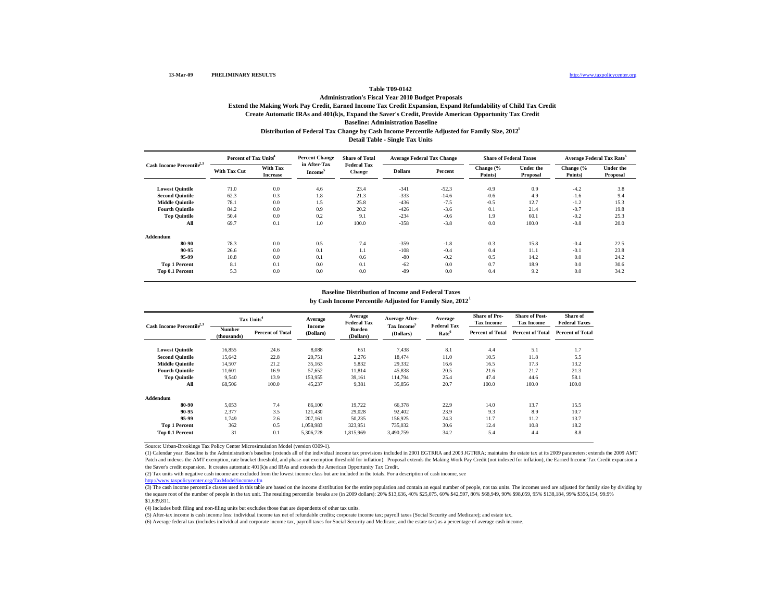### **Create Automatic IRAs and 401(k)s, Expand the Saver's Credit, Provide American Opportunity Tax Credit Baseline: Administration Baseline Administration's Fiscal Year 2010 Budget Proposals Extend the Making Work Pay Credit, Earned Income Tax Credit Expansion, Expand Refundability of Child Tax Credit Distribution of Federal Tax Change by Cash Income Percentile Adjusted for Family Size, 2012 1 Detail Table - Single Tax Units**

|                                       | Percent of Tax Units <sup>4</sup> |                                    | <b>Percent Change</b>   | <b>Share of Total</b>               | <b>Average Federal Tax Change</b> |         | <b>Share of Federal Taxes</b> |                       | <b>Average Federal Tax Rate<sup>6</sup></b> |                              |
|---------------------------------------|-----------------------------------|------------------------------------|-------------------------|-------------------------------------|-----------------------------------|---------|-------------------------------|-----------------------|---------------------------------------------|------------------------------|
| Cash Income Percentile <sup>2,3</sup> | <b>With Tax Cut</b>               | <b>With Tax</b><br><b>Increase</b> | in After-Tax<br>Income' | <b>Federal Tax</b><br><b>Change</b> | <b>Dollars</b>                    | Percent | Change (%<br>Points)          | Under the<br>Proposal | Change (%<br>Points)                        | <b>Under the</b><br>Proposal |
| <b>Lowest Quintile</b>                | 71.0                              | 0.0                                | 4.6                     | 23.4                                | $-341$                            | $-52.3$ | $-0.9$                        | 0.9                   | $-4.2$                                      | 3.8                          |
| <b>Second Quintile</b>                | 62.3                              | 0.3                                | 1.8                     | 21.3                                | $-333$                            | $-14.6$ | $-0.6$                        | 4.9                   | $-1.6$                                      | 9.4                          |
| <b>Middle Quintile</b>                | 78.1                              | 0.0                                | 1.5                     | 25.8                                | $-436$                            | $-7.5$  | $-0.5$                        | 12.7                  | $-1.2$                                      | 15.3                         |
| <b>Fourth Quintile</b>                | 84.2                              | 0.0                                | 0.9                     | 20.2                                | $-426$                            | $-3.6$  | 0.1                           | 21.4                  | $-0.7$                                      | 19.8                         |
| <b>Top Quintile</b>                   | 50.4                              | 0.0                                | 0.2                     | 9.1                                 | $-234$                            | $-0.6$  | 1.9                           | 60.1                  | $-0.2$                                      | 25.3                         |
| All                                   | 69.7                              | 0.1                                | 1.0                     | 100.0                               | $-358$                            | $-3.8$  | 0.0                           | 100.0                 | $-0.8$                                      | 20.0                         |
| Addendum                              |                                   |                                    |                         |                                     |                                   |         |                               |                       |                                             |                              |
| 80-90                                 | 78.3                              | 0.0                                | 0.5                     | 7.4                                 | $-359$                            | $-1.8$  | 0.3                           | 15.8                  | $-0.4$                                      | 22.5                         |
| 90-95                                 | 26.6                              | 0.0                                | 0.1                     | 1.1                                 | $-108$                            | $-0.4$  | 0.4                           | 11.1                  | $-0.1$                                      | 23.8                         |
| 95-99                                 | 10.8                              | 0.0                                | 0.1                     | 0.6                                 | $-80$                             | $-0.2$  | 0.5                           | 14.2                  | 0.0                                         | 24.2                         |
| <b>Top 1 Percent</b>                  | 8.1                               | 0.1                                | 0.0                     | 0.1                                 | $-62$                             | 0.0     | 0.7                           | 18.9                  | 0.0                                         | 30.6                         |
| Top 0.1 Percent                       | 5.3                               | 0.0                                | 0.0                     | 0.0                                 | $-89$                             | 0.0     | 0.4                           | 9.2                   | 0.0                                         | 34.2                         |

## **Baseline Distribution of Income and Federal Taxes**

**by Cash Income Percentile Adjusted for Family Size, 2012 1**

| Cash Income Percentile <sup>2,3</sup> |                              | Tax Units <sup>4</sup>  |                     | Average<br><b>Federal Tax</b> | Average After-<br>Tax Income <sup>5</sup> | Average<br><b>Federal Tax</b> | <b>Share of Pre-</b><br><b>Tax Income</b> | <b>Share of Post-</b><br><b>Tax Income</b> | Share of<br><b>Federal Taxes</b> |
|---------------------------------------|------------------------------|-------------------------|---------------------|-------------------------------|-------------------------------------------|-------------------------------|-------------------------------------------|--------------------------------------------|----------------------------------|
|                                       | <b>Number</b><br>(thousands) | <b>Percent of Total</b> | Income<br>(Dollars) | <b>Burden</b><br>(Dollars)    | (Dollars)                                 | Rate <sup>6</sup>             | <b>Percent of Total</b>                   | <b>Percent of Total</b>                    | <b>Percent of Total</b>          |
| <b>Lowest Quintile</b>                | 16,855                       | 24.6                    | 8,088               | 651                           | 7.438                                     | 8.1                           | 4.4                                       | 5.1                                        | 1.7                              |
| <b>Second Quintile</b>                | 15,642                       | 22.8                    | 20,751              | 2,276                         | 18,474                                    | 11.0                          | 10.5                                      | 11.8                                       | 5.5                              |
| <b>Middle Quintile</b>                | 14,507                       | 21.2                    | 35,163              | 5,832                         | 29,332                                    | 16.6                          | 16.5                                      | 17.3                                       | 13.2                             |
| <b>Fourth Quintile</b>                | 11,601                       | 16.9                    | 57,652              | 11,814                        | 45,838                                    | 20.5                          | 21.6                                      | 21.7                                       | 21.3                             |
| <b>Top Quintile</b>                   | 9,540                        | 13.9                    | 153,955             | 39,161                        | 114,794                                   | 25.4                          | 47.4                                      | 44.6                                       | 58.1                             |
| All                                   | 68,506                       | 100.0                   | 45,237              | 9,381                         | 35,856                                    | 20.7                          | 100.0                                     | 100.0                                      | 100.0                            |
| Addendum                              |                              |                         |                     |                               |                                           |                               |                                           |                                            |                                  |
| 80-90                                 | 5,053                        | 7.4                     | 86,100              | 19,722                        | 66,378                                    | 22.9                          | 14.0                                      | 13.7                                       | 15.5                             |
| 90-95                                 | 2,377                        | 3.5                     | 121,430             | 29,028                        | 92,402                                    | 23.9                          | 9.3                                       | 8.9                                        | 10.7                             |
| 95-99                                 | 1,749                        | 2.6                     | 207,161             | 50,235                        | 156,925                                   | 24.3                          | 11.7                                      | 11.2                                       | 13.7                             |
| <b>Top 1 Percent</b>                  | 362                          | 0.5                     | 1,058,983           | 323,951                       | 735,032                                   | 30.6                          | 12.4                                      | 10.8                                       | 18.2                             |
| Top 0.1 Percent                       | 31                           | 0.1                     | 5,306,728           | 1,815,969                     | 3,490,759                                 | 34.2                          | 5.4                                       | 4.4                                        | 8.8                              |

Source: Urban-Brookings Tax Policy Center Microsimulation Model (version 0309-1).

(1) Calendar year. Baseline is the Administration's baseline (extends all of the individual income tax provisions included in 2001 EGTRRA and 2003 JGTRRA; maintains the estate tax at its 2009 parameters; extends the 2009 AMT Patch and indexes the AMT exemption, rate bracket threshold, and phase-out exemption threshold for inflation). Proposal extends the Making Work Pay Credit (not indexed for inflation), the Earned Income Tax Credit expansion the Saver's credit expansion. It creates automatic 401(k)s and IRAs and extends the American Opportunity Tax Credit.

(2) Tax units with negative cash income are excluded from the lowest income class but are included in the totals. For a description of cash income, see

http://www.taxpolicycenter.org/TaxModel/income.cfm

(3) The cash income percentile classes used in this table are based on the income distribution for the entire population and contain an equal number of people, not tax units. The incomes used are adjusted for family size b the square root of the number of people in the tax unit. The resulting percentile breaks are (in 2009 dollars): 20% \$13,636, 40% \$25,075, 60% \$42,597, 80% \$68,949, 90% \$98,059, 95% \$138,184, 99% \$356,154, 99.9% \$1,639,811.

(4) Includes both filing and non-filing units but excludes those that are dependents of other tax units.

(5) After-tax income is cash income less: individual income tax net of refundable credits; corporate income tax; payroll taxes (Social Security and Medicare); and estate tax.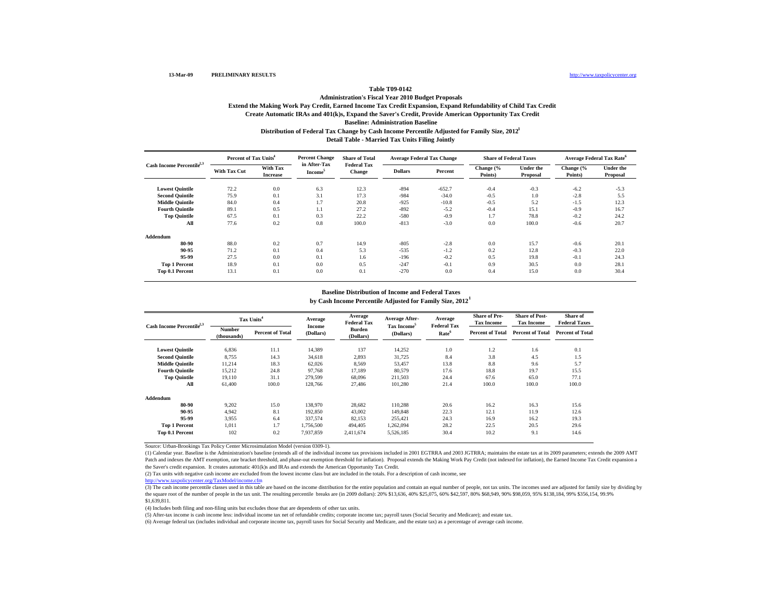#### **Create Automatic IRAs and 401(k)s, Expand the Saver's Credit, Provide American Opportunity Tax Credit Baseline: Administration Baseline Administration's Fiscal Year 2010 Budget Proposals Extend the Making Work Pay Credit, Earned Income Tax Credit Expansion, Expand Refundability of Child Tax Credit Distribution of Federal Tax Change by Cash Income Percentile Adjusted for Family Size, 2012 1 Detail Table - Married Tax Units Filing Jointly**

|                                       | Percent of Tax Units <sup>4</sup> |                                    | <b>Percent Change</b>               | <b>Share of Total</b>               | <b>Average Federal Tax Change</b> |          | <b>Share of Federal Taxes</b> |                              | <b>Average Federal Tax Rate<sup>6</sup></b> |                              |  |
|---------------------------------------|-----------------------------------|------------------------------------|-------------------------------------|-------------------------------------|-----------------------------------|----------|-------------------------------|------------------------------|---------------------------------------------|------------------------------|--|
| Cash Income Percentile <sup>2,3</sup> | <b>With Tax Cut</b>               | <b>With Tax</b><br><b>Increase</b> | in After-Tax<br>Income <sup>5</sup> | <b>Federal Tax</b><br><b>Change</b> | <b>Dollars</b>                    | Percent  | Change (%<br>Points)          | <b>Under the</b><br>Proposal | Change (%<br>Points)                        | <b>Under the</b><br>Proposal |  |
| <b>Lowest Quintile</b>                | 72.2                              | 0.0                                | 6.3                                 | 12.3                                | $-894$                            | $-652.7$ | $-0.4$                        | $-0.3$                       | $-6.2$                                      | $-5.3$                       |  |
| <b>Second Quintile</b>                | 75.9                              | 0.1                                | 3.1                                 | 17.3                                | $-984$                            | $-34.0$  | $-0.5$                        | 1.0                          | $-2.8$                                      | 5.5                          |  |
| <b>Middle Quintile</b>                | 84.0                              | 0.4                                | 1.7                                 | 20.8                                | $-925$                            | $-10.8$  | $-0.5$                        | 5.2                          | $-1.5$                                      | 12.3                         |  |
| <b>Fourth Quintile</b>                | 89.1                              | 0.5                                | 1.1                                 | 27.2                                | $-892$                            | $-5.2$   | $-0.4$                        | 15.1                         | $-0.9$                                      | 16.7                         |  |
| <b>Top Quintile</b>                   | 67.5                              | 0.1                                | 0.3                                 | 22.2                                | $-580$                            | $-0.9$   | 1.7                           | 78.8                         | $-0.2$                                      | 24.2                         |  |
| All                                   | 77.6                              | 0.2                                | 0.8                                 | 100.0                               | $-813$                            | $-3.0$   | 0.0                           | 100.0                        | $-0.6$                                      | 20.7                         |  |
| Addendum                              |                                   |                                    |                                     |                                     |                                   |          |                               |                              |                                             |                              |  |
| 80-90                                 | 88.0                              | 0.2                                | 0.7                                 | 14.9                                | $-805$                            | $-2.8$   | 0.0                           | 15.7                         | $-0.6$                                      | 20.1                         |  |
| 90-95                                 | 71.2                              | 0.1                                | 0.4                                 | 5.3                                 | $-535$                            | $-1.2$   | 0.2                           | 12.8                         | $-0.3$                                      | 22.0                         |  |
| 95-99                                 | 27.5                              | 0.0                                | 0.1                                 | 1.6                                 | $-196$                            | $-0.2$   | 0.5                           | 19.8                         | $-0.1$                                      | 24.3                         |  |
| <b>Top 1 Percent</b>                  | 18.9                              | 0.1                                | 0.0                                 | 0.5                                 | $-247$                            | $-0.1$   | 0.9                           | 30.5                         | 0.0                                         | 28.1                         |  |
| Top 0.1 Percent                       | 13.1                              | 0.1                                | 0.0                                 | 0.1                                 | $-270$                            | 0.0      | 0.4                           | 15.0                         | 0.0                                         | 30.4                         |  |

## **Baseline Distribution of Income and Federal Taxes**

**by Cash Income Percentile Adjusted for Family Size, 2012 1**

| Cash Income Percentile <sup>2,3</sup> |                              | Tax Units <sup>4</sup>  |                     | Average<br><b>Federal Tax</b> | Average After-<br>Tax Income <sup>5</sup> | Average<br><b>Federal Tax</b> | <b>Share of Pre-</b><br><b>Tax Income</b> | <b>Share of Post-</b><br><b>Tax Income</b> | Share of<br><b>Federal Taxes</b> |
|---------------------------------------|------------------------------|-------------------------|---------------------|-------------------------------|-------------------------------------------|-------------------------------|-------------------------------------------|--------------------------------------------|----------------------------------|
|                                       | <b>Number</b><br>(thousands) | <b>Percent of Total</b> | Income<br>(Dollars) | <b>Burden</b><br>(Dollars)    | (Dollars)                                 | Rate <sup>6</sup>             | <b>Percent of Total</b>                   | <b>Percent of Total</b>                    | <b>Percent of Total</b>          |
| <b>Lowest Quintile</b>                | 6,836                        | 11.1                    | 14,389              | 137                           | 14,252                                    | 1.0                           | 1.2                                       | 1.6                                        | 0.1                              |
| <b>Second Quintile</b>                | 8,755                        | 14.3                    | 34,618              | 2,893                         | 31,725                                    | 8.4                           | 3.8                                       | 4.5                                        | 1.5                              |
| <b>Middle Quintile</b>                | 11,214                       | 18.3                    | 62,026              | 8,569                         | 53,457                                    | 13.8                          | 8.8                                       | 9.6                                        | 5.7                              |
| <b>Fourth Quintile</b>                | 15,212                       | 24.8                    | 97,768              | 17,189                        | 80,579                                    | 17.6                          | 18.8                                      | 19.7                                       | 15.5                             |
| <b>Top Quintile</b>                   | 19.110                       | 31.1                    | 279,599             | 68,096                        | 211.503                                   | 24.4                          | 67.6                                      | 65.0                                       | 77.1                             |
| All                                   | 61.400                       | 100.0                   | 128,766             | 27,486                        | 101,280                                   | 21.4                          | 100.0                                     | 100.0                                      | 100.0                            |
| Addendum                              |                              |                         |                     |                               |                                           |                               |                                           |                                            |                                  |
| 80-90                                 | 9,202                        | 15.0                    | 138,970             | 28,682                        | 110,288                                   | 20.6                          | 16.2                                      | 16.3                                       | 15.6                             |
| 90-95                                 | 4,942                        | 8.1                     | 192,850             | 43,002                        | 149,848                                   | 22.3                          | 12.1                                      | 11.9                                       | 12.6                             |
| 95-99                                 | 3,955                        | 6.4                     | 337,574             | 82,153                        | 255,421                                   | 24.3                          | 16.9                                      | 16.2                                       | 19.3                             |
| <b>Top 1 Percent</b>                  | 1,011                        | 1.7                     | 1,756,500           | 494,405                       | 1,262,094                                 | 28.2                          | 22.5                                      | 20.5                                       | 29.6                             |
| Top 0.1 Percent                       | 102                          | 0.2                     | 7,937,859           | 2,411,674                     | 5,526,185                                 | 30.4                          | 10.2                                      | 9.1                                        | 14.6                             |

Source: Urban-Brookings Tax Policy Center Microsimulation Model (version 0309-1).

(1) Calendar year. Baseline is the Administration's baseline (extends all of the individual income tax provisions included in 2001 EGTRRA and 2003 JGTRRA; maintains the estate tax at its 2009 parameters; extends the 2009 AMT Patch and indexes the AMT exemption, rate bracket threshold, and phase-out exemption threshold for inflation). Proposal extends the Making Work Pay Credit (not indexed for inflation), the Earned Income Tax Credit expansion the Saver's credit expansion. It creates automatic 401(k)s and IRAs and extends the American Opportunity Tax Credit.

(2) Tax units with negative cash income are excluded from the lowest income class but are included in the totals. For a description of cash income, see

http://www.taxpolicycenter.org/TaxModel/income.cfm

(3) The cash income percentile classes used in this table are based on the income distribution for the entire population and contain an equal number of people, not tax units. The incomes used are adjusted for family size b the square root of the number of people in the tax unit. The resulting percentile breaks are (in 2009 dollars): 20% \$13,636, 40% \$25,075, 60% \$42,597, 80% \$68,949, 90% \$98,059, 95% \$138,184, 99% \$356,154, 99.9% \$1,639,811.

(4) Includes both filing and non-filing units but excludes those that are dependents of other tax units.

(5) After-tax income is cash income less: individual income tax net of refundable credits; corporate income tax; payroll taxes (Social Security and Medicare); and estate tax.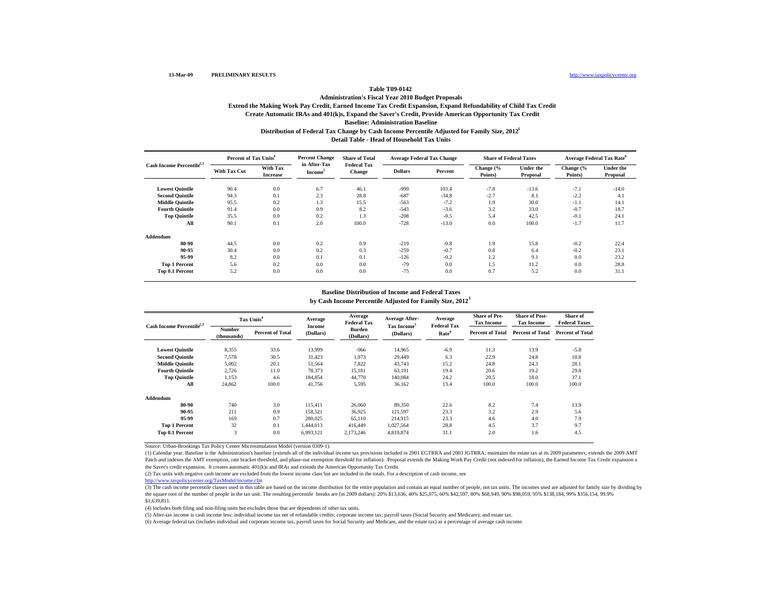#### **Create Automatic IRAs and 401(k)s, Expand the Saver's Credit, Provide American Opportunity Tax Credit Baseline: Administration Baseline Administration's Fiscal Year 2010 Budget Proposals Extend the Making Work Pay Credit, Earned Income Tax Credit Expansion, Expand Refundability of Child Tax Credit Distribution of Federal Tax Change by Cash Income Percentile Adjusted for Family Size, 2012 1 Detail Table - Head of Household Tax Units**

|                                       | Percent of Tax Units <sup>4</sup> |                                    | <b>Percent Change</b>               | <b>Share of Total</b>               |                | <b>Average Federal Tax Change</b> | <b>Share of Federal Taxes</b> |                              | <b>Average Federal Tax Rate<sup>6</sup></b> |                              |
|---------------------------------------|-----------------------------------|------------------------------------|-------------------------------------|-------------------------------------|----------------|-----------------------------------|-------------------------------|------------------------------|---------------------------------------------|------------------------------|
| Cash Income Percentile <sup>2,3</sup> | <b>With Tax Cut</b>               | <b>With Tax</b><br><b>Increase</b> | in After-Tax<br>Income <sup>5</sup> | <b>Federal Tax</b><br><b>Change</b> | <b>Dollars</b> | Percent                           | Change (%<br>Points)          | <b>Under the</b><br>Proposal | Change (%<br>Points)                        | <b>Under the</b><br>Proposal |
| <b>Lowest Quintile</b>                | 90.4                              | 0.0                                | 6.7                                 | 46.1                                | $-999$         | 103.4                             | $-7.8$                        | $-13.6$                      | $-7.1$                                      | $-14.0$                      |
| <b>Second Quintile</b>                | 94.3                              | 0.1                                | 2.3                                 | 28.8                                | $-687$         | $-34.8$                           | $-2.7$                        | 8.1                          | $-2.2$                                      | 4.1                          |
| <b>Middle Quintile</b>                | 95.5                              | 0.2                                | 1.3                                 | 15.5                                | $-563$         | $-7.2$                            | 1.9                           | 30.0                         | $-1.1$                                      | 14.1                         |
| <b>Fourth Quintile</b>                | 91.4                              | 0.0                                | 0.9                                 | 8.2                                 | $-543$         | $-3.6$                            | 3.2                           | 33.0                         | $-0.7$                                      | 18.7                         |
| <b>Top Quintile</b>                   | 35.5                              | 0.0                                | 0.2                                 | 1.3                                 | $-208$         | $-0.5$                            | 5.4                           | 42.5                         | $-0.1$                                      | 24.1                         |
| All                                   | 90.1                              | 0.1                                | 2.0                                 | 100.0                               | $-728$         | $-13.0$                           | 0.0                           | 100.0                        | $-1.7$                                      | 11.7                         |
| Addendum                              |                                   |                                    |                                     |                                     |                |                                   |                               |                              |                                             |                              |
| 80-90                                 | 44.5                              | 0.0                                | 0.2                                 | 0.9                                 | $-219$         | $-0.8$                            | 1.9                           | 15.8                         | $-0.2$                                      | 22.4                         |
| 90-95                                 | 30.4                              | 0.0                                | 0.2                                 | 0.3                                 | $-259$         | $-0.7$                            | 0.8                           | 6.4                          | $-0.2$                                      | 23.1                         |
| 95-99                                 | 8.2                               | 0.0                                | 0.1                                 | 0.1                                 | $-126$         | $-0.2$                            | 1.2                           | 9.1                          | 0.0                                         | 23.2                         |
| <b>Top 1 Percent</b>                  | 5.6                               | 0.2                                | 0.0                                 | 0.0                                 | $-79$          | 0.0                               | 1.5                           | 11.2                         | 0.0                                         | 28.8                         |
| Top 0.1 Percent                       | 5.2                               | 0.0                                | 0.0                                 | 0.0                                 | $-75$          | 0.0                               | 0.7                           | 5.2                          | 0.0                                         | 31.1                         |

## **Baseline Distribution of Income and Federal Taxes**

**by Cash Income Percentile Adjusted for Family Size, 2012 1**

| Cash Income Percentile <sup>2,3</sup> |                       | Tax Units <sup>4</sup>  | Average<br>Income | Average<br><b>Federal Tax</b> | Average After-<br>Tax Income <sup>5</sup> | Average<br><b>Federal Tax</b> | <b>Share of Pre-</b><br><b>Tax Income</b> | <b>Share of Post-</b><br><b>Tax Income</b> | Share of<br><b>Federal Taxes</b> |
|---------------------------------------|-----------------------|-------------------------|-------------------|-------------------------------|-------------------------------------------|-------------------------------|-------------------------------------------|--------------------------------------------|----------------------------------|
|                                       | Number<br>(thousands) | <b>Percent of Total</b> | (Dollars)         | <b>Burden</b><br>(Dollars)    | (Dollars)                                 | Rate <sup>6</sup>             | <b>Percent of Total</b>                   | <b>Percent of Total</b>                    | <b>Percent of Total</b>          |
| <b>Lowest Quintile</b>                | 8.355                 | 33.6                    | 13,999            | $-966$                        | 14.965                                    | $-6.9$                        | 11.3                                      | 13.9                                       | $-5.8$                           |
| <b>Second Quintile</b>                | 7,578                 | 30.5                    | 31,423            | 1,973                         | 29,449                                    | 6.3                           | 22.9                                      | 24.8                                       | 10.8                             |
| <b>Middle Quintile</b>                | 5,002                 | 20.1                    | 51,564            | 7,822                         | 43,743                                    | 15.2                          | 24.8                                      | 24.3                                       | 28.1                             |
| <b>Fourth Quintile</b>                | 2,726                 | 11.0                    | 78,373            | 15,181                        | 63,191                                    | 19.4                          | 20.6                                      | 19.2                                       | 29.8                             |
| <b>Top Quintile</b>                   | 1,153                 | 4.6                     | 184.854           | 44,770                        | 140,084                                   | 24.2                          | 20.5                                      | 18.0                                       | 37.1                             |
| All                                   | 24,862                | 100.0                   | 41,756            | 5,595                         | 36,162                                    | 13.4                          | 100.0                                     | 100.0                                      | 100.0                            |
| Addendum                              |                       |                         |                   |                               |                                           |                               |                                           |                                            |                                  |
| 80-90                                 | 740                   | 3.0                     | 115.411           | 26,060                        | 89,350                                    | 22.6                          | 8.2                                       | 7.4                                        | 13.9                             |
| 90-95                                 | 211                   | 0.9                     | 158,521           | 36,925                        | 121,597                                   | 23.3                          | 3.2                                       | 2.9                                        | 5.6                              |
| 95-99                                 | 169                   | 0.7                     | 280,025           | 65,110                        | 214,915                                   | 23.3                          | 4.6                                       | 4.0                                        | 7.9                              |
| <b>Top 1 Percent</b>                  | 32                    | 0.1                     | 1,444,013         | 416,449                       | 1,027,564                                 | 28.8                          | 4.5                                       | 3.7                                        | 9.7                              |
| Top 0.1 Percent                       | 3                     | 0.0                     | 6,993,121         | 2,173,246                     | 4,819,874                                 | 31.1                          | 2.0                                       | 1.6                                        | 4.5                              |

Source: Urban-Brookings Tax Policy Center Microsimulation Model (version 0309-1).

(1) Calendar year. Baseline is the Administration's baseline (extends all of the individual income tax provisions included in 2001 EGTRRA and 2003 JGTRRA; maintains the estate tax at its 2009 parameters; extends the 2009 AMT Patch and indexes the AMT exemption, rate bracket threshold, and phase-out exemption threshold for inflation). Proposal extends the Making Work Pay Credit (not indexed for inflation), the Earned Income Tax Credit expansion the Saver's credit expansion. It creates automatic 401(k)s and IRAs and extends the American Opportunity Tax Credit.

(2) Tax units with negative cash income are excluded from the lowest income class but are included in the totals. For a description of cash income, see

http://www.taxpolicycenter.org/TaxModel/income.cfm

(3) The cash income percentile classes used in this table are based on the income distribution for the entire population and contain an equal number of people, not tax units. The incomes used are adjusted for family size b the square root of the number of people in the tax unit. The resulting percentile breaks are (in 2009 dollars): 20% \$13,636, 40% \$25,075, 60% \$42,597, 80% \$68,949, 90% \$98,059, 95% \$138,184, 99% \$356,154, 99.9% \$1,639,811.

(4) Includes both filing and non-filing units but excludes those that are dependents of other tax units.

(5) After-tax income is cash income less: individual income tax net of refundable credits; corporate income tax; payroll taxes (Social Security and Medicare); and estate tax.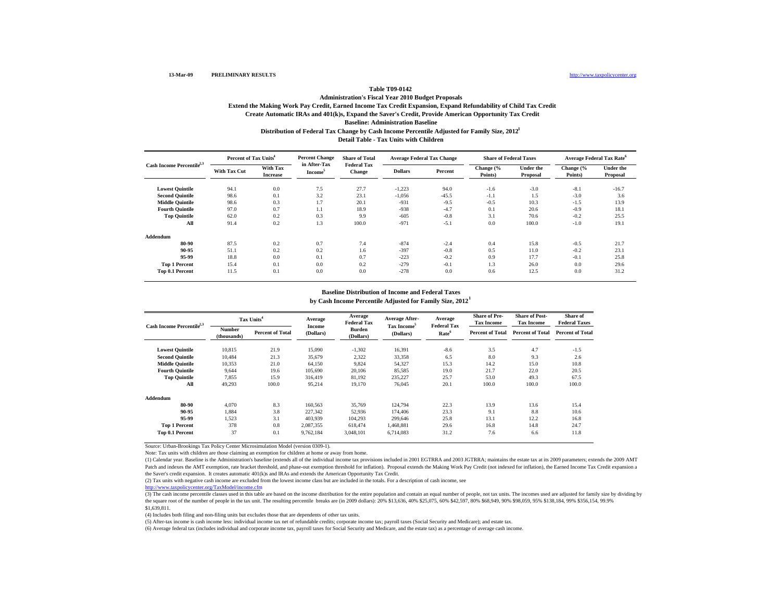### **Create Automatic IRAs and 401(k)s, Expand the Saver's Credit, Provide American Opportunity Tax Credit Baseline: Administration Baseline Administration's Fiscal Year 2010 Budget Proposals Extend the Making Work Pay Credit, Earned Income Tax Credit Expansion, Expand Refundability of Child Tax Credit Distribution of Federal Tax Change by Cash Income Percentile Adjusted for Family Size, 2012 1 Detail Table - Tax Units with Children**

|                                       | Percent of Tax Units <sup>4</sup> |                                    | <b>Percent Change</b>               | <b>Share of Total</b>               | <b>Average Federal Tax Change</b> |         |                      | <b>Share of Federal Taxes</b> | <b>Average Federal Tax Rate<sup>6</sup></b> |                              |
|---------------------------------------|-----------------------------------|------------------------------------|-------------------------------------|-------------------------------------|-----------------------------------|---------|----------------------|-------------------------------|---------------------------------------------|------------------------------|
| Cash Income Percentile <sup>2,3</sup> | <b>With Tax Cut</b>               | <b>With Tax</b><br><b>Increase</b> | in After-Tax<br>Income <sup>5</sup> | <b>Federal Tax</b><br><b>Change</b> | <b>Dollars</b>                    | Percent | Change (%<br>Points) | <b>Under the</b><br>Proposal  | Change $\frac{6}{6}$<br>Points)             | <b>Under the</b><br>Proposal |
| <b>Lowest Quintile</b>                | 94.1                              | 0.0                                | 7.5                                 | 27.7                                | $-1,223$                          | 94.0    | $-1.6$               | $-3.0$                        | $-8.1$                                      | $-16.7$                      |
| <b>Second Quintile</b>                | 98.6                              | 0.1                                | 3.2                                 | 23.1                                | $-1,056$                          | $-45.5$ | $-1.1$               | 1.5                           | $-3.0$                                      | 3.6                          |
| <b>Middle Quintile</b>                | 98.6                              | 0.3                                | 1.7                                 | 20.1                                | $-931$                            | $-9.5$  | $-0.5$               | 10.3                          | $-1.5$                                      | 13.9                         |
| <b>Fourth Quintile</b>                | 97.0                              | 0.7                                | 1.1                                 | 18.9                                | $-938$                            | $-4.7$  | 0.1                  | 20.6                          | $-0.9$                                      | 18.1                         |
| <b>Top Quintile</b>                   | 62.0                              | 0.2                                | 0.3                                 | 9.9                                 | $-605$                            | $-0.8$  | 3.1                  | 70.6                          | $-0.2$                                      | 25.5                         |
| All                                   | 91.4                              | 0.2                                | 1.3                                 | 100.0                               | $-971$                            | $-5.1$  | 0.0                  | 100.0                         | $-1.0$                                      | 19.1                         |
| Addendum                              |                                   |                                    |                                     |                                     |                                   |         |                      |                               |                                             |                              |
| 80-90                                 | 87.5                              | 0.2                                | 0.7                                 | 7.4                                 | $-874$                            | $-2.4$  | 0.4                  | 15.8                          | $-0.5$                                      | 21.7                         |
| 90-95                                 | 51.1                              | 0.2                                | 0.2                                 | 1.6                                 | $-397$                            | $-0.8$  | 0.5                  | 11.0                          | $-0.2$                                      | 23.1                         |
| 95-99                                 | 18.8                              | 0.0                                | 0.1                                 | 0.7                                 | $-223$                            | $-0.2$  | 0.9                  | 17.7                          | $-0.1$                                      | 25.8                         |
| <b>Top 1 Percent</b>                  | 15.4                              | 0.1                                | 0.0                                 | 0.2                                 | $-279$                            | $-0.1$  | 1.3                  | 26.0                          | 0.0                                         | 29.6                         |
| Top 0.1 Percent                       | 11.5                              | 0.1                                | 0.0                                 | 0.0                                 | $-278$                            | 0.0     | 0.6                  | 12.5                          | 0.0                                         | 31.2                         |

## **Baseline Distribution of Income and Federal Taxes**

**by Cash Income Percentile Adjusted for Family Size, 2012 1**

| Cash Income Percentile <sup>2,3</sup> | Tax Units <sup>4</sup>       |                         | Average             | Average<br><b>Federal Tax</b> | Average After-                       | Average<br><b>Federal Tax</b> | <b>Share of Pre-</b><br><b>Tax Income</b> | <b>Share of Post-</b><br><b>Tax Income</b> | Share of<br><b>Federal Taxes</b> |
|---------------------------------------|------------------------------|-------------------------|---------------------|-------------------------------|--------------------------------------|-------------------------------|-------------------------------------------|--------------------------------------------|----------------------------------|
|                                       | <b>Number</b><br>(thousands) | <b>Percent of Total</b> | Income<br>(Dollars) | <b>Burden</b><br>(Dollars)    | Tax Income <sup>5</sup><br>(Dollars) | Rate <sup>6</sup>             | <b>Percent of Total</b>                   | <b>Percent of Total</b>                    | <b>Percent of Total</b>          |
| <b>Lowest Quintile</b>                | 10.815                       | 21.9                    | 15,090              | $-1,302$                      | 16,391                               | $-8.6$                        | 3.5                                       | 4.7                                        | $-1.5$                           |
| <b>Second Quintile</b>                | 10.484                       | 21.3                    | 35,679              | 2,322                         | 33,358                               | 6.5                           | 8.0                                       | 9.3                                        | 2.6                              |
| <b>Middle Quintile</b>                | 10,353                       | 21.0                    | 64,150              | 9,824                         | 54,327                               | 15.3                          | 14.2                                      | 15.0                                       | 10.8                             |
| <b>Fourth Quintile</b>                | 9.644                        | 19.6                    | 105,690             | 20,106                        | 85,585                               | 19.0                          | 21.7                                      | 22.0                                       | 20.5                             |
| <b>Top Quintile</b>                   | 7,855                        | 15.9                    | 316,419             | 81,192                        | 235,227                              | 25.7                          | 53.0                                      | 49.3                                       | 67.5                             |
| All                                   | 49,293                       | 100.0                   | 95,214              | 19,170                        | 76.045                               | 20.1                          | 100.0                                     | 100.0                                      | 100.0                            |
| Addendum                              |                              |                         |                     |                               |                                      |                               |                                           |                                            |                                  |
| 80-90                                 | 4,070                        | 8.3                     | 160,563             | 35,769                        | 124,794                              | 22.3                          | 13.9                                      | 13.6                                       | 15.4                             |
| 90-95                                 | 1,884                        | 3.8                     | 227,342             | 52,936                        | 174,406                              | 23.3                          | 9.1                                       | 8.8                                        | 10.6                             |
| 95-99                                 | 1,523                        | 3.1                     | 403,939             | 104,293                       | 299,646                              | 25.8                          | 13.1                                      | 12.2                                       | 16.8                             |
| <b>Top 1 Percent</b>                  | 378                          | 0.8                     | 2,087,355           | 618,474                       | 1,468,881                            | 29.6                          | 16.8                                      | 14.8                                       | 24.7                             |
| Top 0.1 Percent                       | 37                           | 0.1                     | 9,762,184           | 3,048,101                     | 6,714,083                            | 31.2                          | 7.6                                       | 6.6                                        | 11.8                             |

Source: Urban-Brookings Tax Policy Center Microsimulation Model (version 0309-1).

Note: Tax units with children are those claiming an exemption for children at home or away from home.

(1) Calendar year. Baseline is the Administration's baseline (extends all of the individual income tax provisions included in 2001 EGTRRA and 2003 JGTRRA; maintains the estate tax at its 2009 parameters; extends the 2009 AMT Patch and indexes the AMT exemption, rate bracket threshold, and phase-out exemption threshold for inflation). Proposal extends the Making Work Pay Credit (not indexed for inflation), the Earned Income Tax Credit expansion the Saver's credit expansion. It creates automatic 401(k)s and IRAs and extends the American Opportunity Tax Credit.

(2) Tax units with negative cash income are excluded from the lowest income class but are included in the totals. For a description of cash income, see

http://www.taxpolicycenter.org/TaxModel/income.cfm

(3) The cash income percentile classes used in this table are based on the income distribution for the entire population and contain an equal number of people, not tax units. The incomes used are adjusted for family size b the square root of the number of people in the tax unit. The resulting percentile breaks are (in 2009 dollars): 20% \$13,636, 40% \$25,075, 60% \$42,597, 80% \$68,949, 90% \$98,059, 95% \$138,184, 99% \$356,154, 99.9% \$1,639,811.

(4) Includes both filing and non-filing units but excludes those that are dependents of other tax units.

(5) After-tax income is cash income less: individual income tax net of refundable credits; corporate income tax; payroll taxes (Social Security and Medicare); and estate tax.